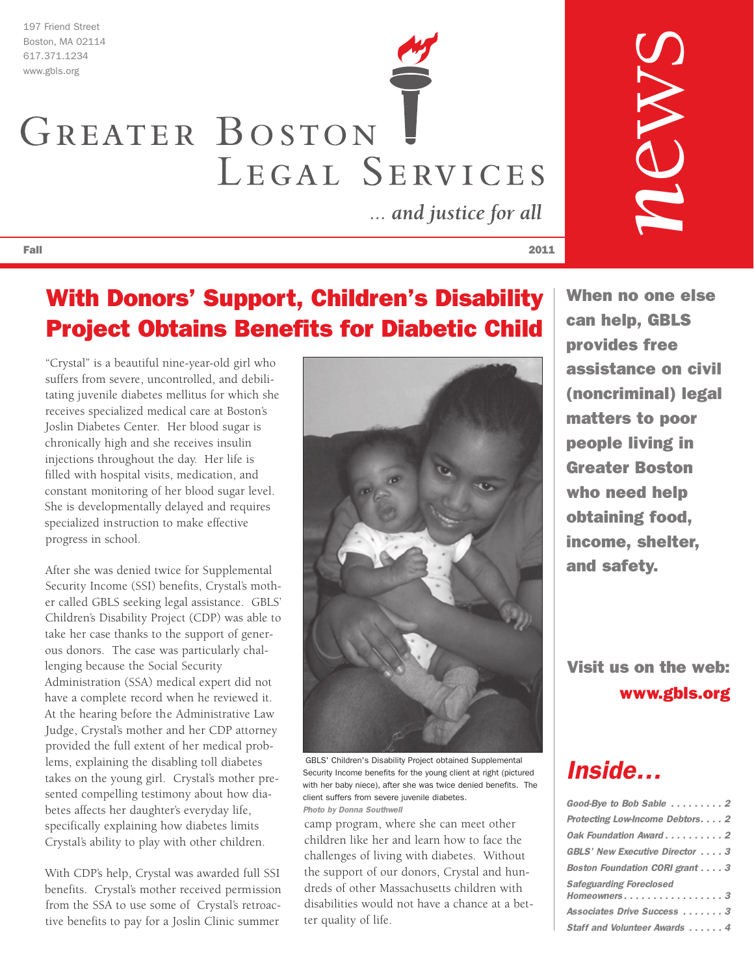197 Friend Street Boston, MA 02114

# 617.371.1234 www.gbls.org GREATER BOSTON LEGAL SERVICES

... and justice for all

## With Donors' Support, Children's Disability Project Obtains Benefits for Diabetic Child

"Crystal" is a beautiful nine-year-old girl who suffers from severe, uncontrolled, and debilitating juvenile diabetes mellitus for which she receives specialized medical care at Boston's Joslin Diabetes Center. Her blood sugar is chronically high and she receives insulin injections throughout the day. Her life is filled with hospital visits, medication, and constant monitoring of her blood sugar level. She is developmentally delayed and requires specialized instruction to make effective progress in school.

After she was denied twice for Supplemental Security Income (SSI) benefits, Crystal's mother called GBLS seeking legal assistance. GBLS' Children's Disability Project (CDP) was able to take her case thanks to the support of generous donors. The case was particularly challenging because the Social Security Administration (SSA) medical expert did not have a complete record when he reviewed it. At the hearing before the Administrative Law Judge, Crystal's mother and her CDP attorney provided the full extent of her medical problems, explaining the disabling toll diabetes takes on the young girl. Crystal's mother presented compelling testimony about how diabetes affects her daughter's everyday life, specifically explaining how diabetes limits Crystal's ability to play with other children.

With CDP's help, Crystal was awarded full SSI benefits. Crystal's mother received permission from the SSA to use some of Crystal's retroactive benefits to pay for a Joslin Clinic summer



GBLS' Children's Disability Project obtained Supplemental Security Income benefits for the young client at right (pictured with her baby niece), after she was twice denied benefits. The client suffers from severe juvenile diabetes. Photo by Donna Southwell

camp program, where she can meet other children like her and learn how to face the challenges of living with diabetes. Without the support of our donors, Crystal and hundreds of other Massachusetts children with disabilities would not have a chance at a better quality of life.

When no one else can help, GBLS provides free assistance on civil (noncriminal) legal matters to poor people living in Greater Boston who need help obtaining food, income, shelter, and safety.

*n*

 $\bigcirc$ 

w

 $\mathcal{S}$ 

Visit us on the web: www.gbls.org

# *Inside…*

| Good-Bye to Bob Sable 2        |
|--------------------------------|
| Protecting Low-Income Debtors2 |
| Oak Foundation Award2          |
| GBLS' New Executive Director 3 |
| Boston Foundation CORI grant 3 |
| Safeguarding Foreclosed        |
| Homeowners3                    |
| Associates Drive Success 3     |
| Staff and Volunteer Awards  4  |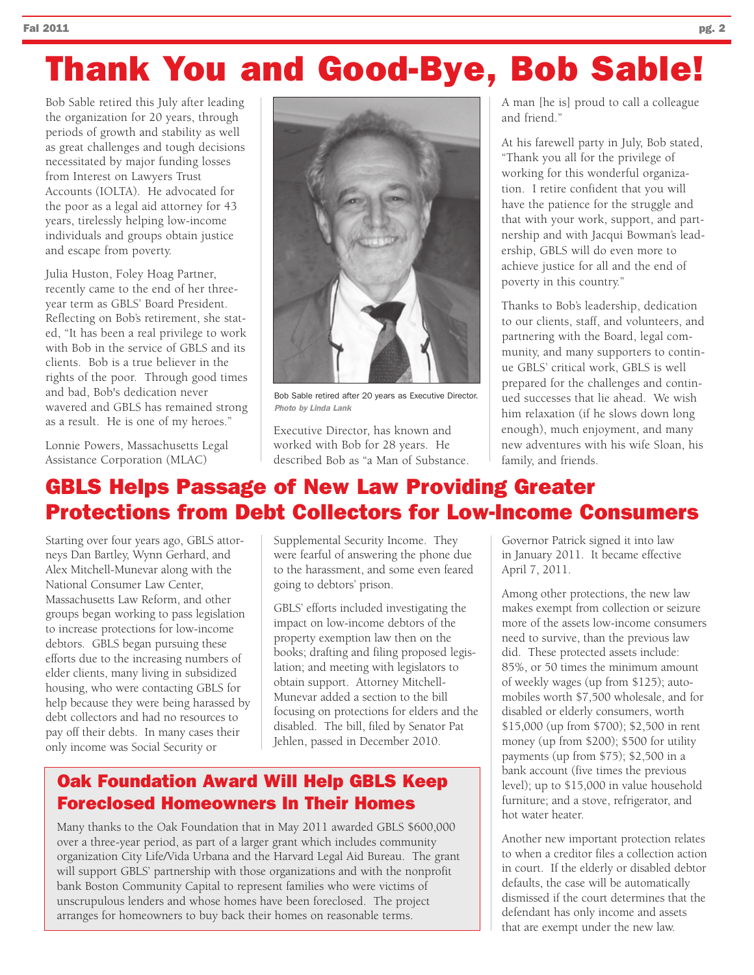#### Fal 2011 **pg. 2**  $p$

# Thank You and Good-Bye, Bob Sable!

Bob Sable retired this July after leading the organization for 20 years, through periods of growth and stability as well as great challenges and tough decisions necessitated by major funding losses from Interest on Lawyers Trust Accounts (IOLTA). He advocated for the poor as a legal aid attorney for 43 years, tirelessly helping low-income individuals and groups obtain justice and escape from poverty.

Julia Huston, Foley Hoag Partner, recently came to the end of her threeyear term as GBLS' Board President. Reflecting on Bob's retirement, she stated, "It has been a real privilege to work with Bob in the service of GBLS and its clients. Bob is a true believer in the rights of the poor. Through good times and bad, Bob's dedication never wavered and GBLS has remained strong as a result. He is one of my heroes."

Lonnie Powers, Massachusetts Legal Assistance Corporation (MLAC)



Bob Sable retired after 20 years as Executive Director. Photo by Linda Lank

Executive Director, has known and worked with Bob for 28 years. He described Bob as "a Man of Substance. A man [he is] proud to call a colleague and friend."

At his farewell party in July, Bob stated, "Thank you all for the privilege of working for this wonderful organization. I retire confident that you will have the patience for the struggle and that with your work, support, and partnership and with Jacqui Bowman's leadership, GBLS will do even more to achieve justice for all and the end of poverty in this country."

Thanks to Bob's leadership, dedication to our clients, staff, and volunteers, and partnering with the Board, legal community, and many supporters to continue GBLS' critical work, GBLS is well prepared for the challenges and continued successes that lie ahead. We wish him relaxation (if he slows down long enough), much enjoyment, and many new adventures with his wife Sloan, his family, and friends.

#### GBLS Helps Passage of New Law Providing Greater Protections from Debt Collectors for Low-Income Consumers

Starting over four years ago, GBLS attorneys Dan Bartley, Wynn Gerhard, and Alex Mitchell-Munevar along with the National Consumer Law Center, Massachusetts Law Reform, and other groups began working to pass legislation to increase protections for low-income debtors. GBLS began pursuing these efforts due to the increasing numbers of elder clients, many living in subsidized housing, who were contacting GBLS for help because they were being harassed by debt collectors and had no resources to pay off their debts. In many cases their only income was Social Security or

Supplemental Security Income. They were fearful of answering the phone due to the harassment, and some even feared going to debtors' prison.

GBLS' efforts included investigating the impact on low-income debtors of the property exemption law then on the books; drafting and filing proposed legislation; and meeting with legislators to obtain support. Attorney Mitchell-Munevar added a section to the bill focusing on protections for elders and the disabled. The bill, filed by Senator Pat Jehlen, passed in December 2010.

#### Oak Foundation Award Will Help GBLS Keep Foreclosed Homeowners In Their Homes

Many thanks to the Oak Foundation that in May 2011 awarded GBLS \$600,000 over a three-year period, as part of a larger grant which includes community organization City Life/Vida Urbana and the Harvard Legal Aid Bureau. The grant will support GBLS' partnership with those organizations and with the nonprofit bank Boston Community Capital to represent families who were victims of unscrupulous lenders and whose homes have been foreclosed. The project arranges for homeowners to buy back their homes on reasonable terms.

Governor Patrick signed it into law in January 2011. It became effective April 7, 2011.

Among other protections, the new law makes exempt from collection or seizure more of the assets low-income consumers need to survive, than the previous law did. These protected assets include: 85%, or 50 times the minimum amount of weekly wages (up from \$125); automobiles worth \$7,500 wholesale, and for disabled or elderly consumers, worth \$15,000 (up from \$700); \$2,500 in rent money (up from \$200); \$500 for utility payments (up from \$75); \$2,500 in a bank account (five times the previous level); up to \$15,000 in value household furniture; and a stove, refrigerator, and hot water heater.

Another new important protection relates to when a creditor files a collection action in court. If the elderly or disabled debtor defaults, the case will be automatically dismissed if the court determines that the defendant has only income and assets that are exempt under the new law.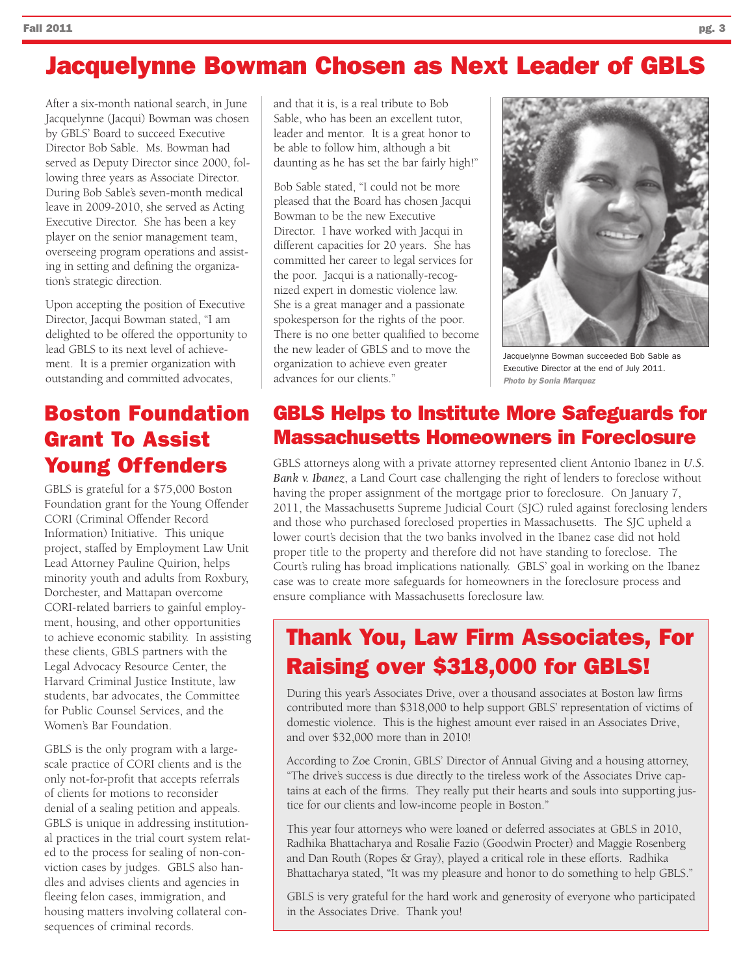# Jacquelynne Bowman Chosen as Next Leader of GBLS

After a six-month national search, in June Jacquelynne (Jacqui) Bowman was chosen by GBLS' Board to succeed Executive Director Bob Sable. Ms. Bowman had served as Deputy Director since 2000, following three years as Associate Director. During Bob Sable's seven-month medical leave in 2009-2010, she served as Acting Executive Director. She has been a key player on the senior management team, overseeing program operations and assisting in setting and defining the organization's strategic direction.

Upon accepting the position of Executive Director, Jacqui Bowman stated, "I am delighted to be offered the opportunity to lead GBLS to its next level of achievement. It is a premier organization with outstanding and committed advocates,

#### Boston Foundation Grant To Assist Young Offenders

GBLS is grateful for a \$75,000 Boston Foundation grant for the Young Offender CORI (Criminal Offender Record Information) Initiative. This unique project, staffed by Employment Law Unit Lead Attorney Pauline Quirion, helps minority youth and adults from Roxbury, Dorchester, and Mattapan overcome CORI-related barriers to gainful employment, housing, and other opportunities to achieve economic stability. In assisting these clients, GBLS partners with the Legal Advocacy Resource Center, the Harvard Criminal Justice Institute, law students, bar advocates, the Committee for Public Counsel Services, and the Women's Bar Foundation.

GBLS is the only program with a largescale practice of CORI clients and is the only not-for-profit that accepts referrals of clients for motions to reconsider denial of a sealing petition and appeals. GBLS is unique in addressing institutional practices in the trial court system related to the process for sealing of non-conviction cases by judges. GBLS also handles and advises clients and agencies in fleeing felon cases, immigration, and housing matters involving collateral consequences of criminal records.

and that it is, is a real tribute to Bob Sable, who has been an excellent tutor, leader and mentor. It is a great honor to be able to follow him, although a bit daunting as he has set the bar fairly high!"

Bob Sable stated, "I could not be more pleased that the Board has chosen Jacqui Bowman to be the new Executive Director. I have worked with Jacqui in different capacities for 20 years. She has committed her career to legal services for the poor. Jacqui is a nationally-recognized expert in domestic violence law. She is a great manager and a passionate spokesperson for the rights of the poor. There is no one better qualified to become the new leader of GBLS and to move the organization to achieve even greater advances for our clients."



Jacquelynne Bowman succeeded Bob Sable as Executive Director at the end of July 2011. Photo by Sonia Marquez

#### GBLS Helps to Institute More Safeguards for Massachusetts Homeowners in Foreclosure

GBLS attorneys along with a private attorney represented client Antonio Ibanez in *U.S. Bank v. Ibanez*, a Land Court case challenging the right of lenders to foreclose without having the proper assignment of the mortgage prior to foreclosure. On January 7, 2011, the Massachusetts Supreme Judicial Court (SJC) ruled against foreclosing lenders and those who purchased foreclosed properties in Massachusetts. The SJC upheld a lower court's decision that the two banks involved in the Ibanez case did not hold proper title to the property and therefore did not have standing to foreclose. The Court's ruling has broad implications nationally. GBLS' goal in working on the Ibanez case was to create more safeguards for homeowners in the foreclosure process and ensure compliance with Massachusetts foreclosure law.

## Thank You, Law Firm Associates, For Raising over \$318,000 for GBLS!

During this year's Associates Drive, over a thousand associates at Boston law firms contributed more than \$318,000 to help support GBLS' representation of victims of domestic violence. This is the highest amount ever raised in an Associates Drive, and over \$32,000 more than in 2010!

According to Zoe Cronin, GBLS' Director of Annual Giving and a housing attorney, "The drive's success is due directly to the tireless work of the Associates Drive captains at each of the firms. They really put their hearts and souls into supporting justice for our clients and low-income people in Boston."

This year four attorneys who were loaned or deferred associates at GBLS in 2010, Radhika Bhattacharya and Rosalie Fazio (Goodwin Procter) and Maggie Rosenberg and Dan Routh (Ropes & Gray), played a critical role in these efforts. Radhika Bhattacharya stated, "It was my pleasure and honor to do something to help GBLS."

GBLS is very grateful for the hard work and generosity of everyone who participated in the Associates Drive. Thank you!